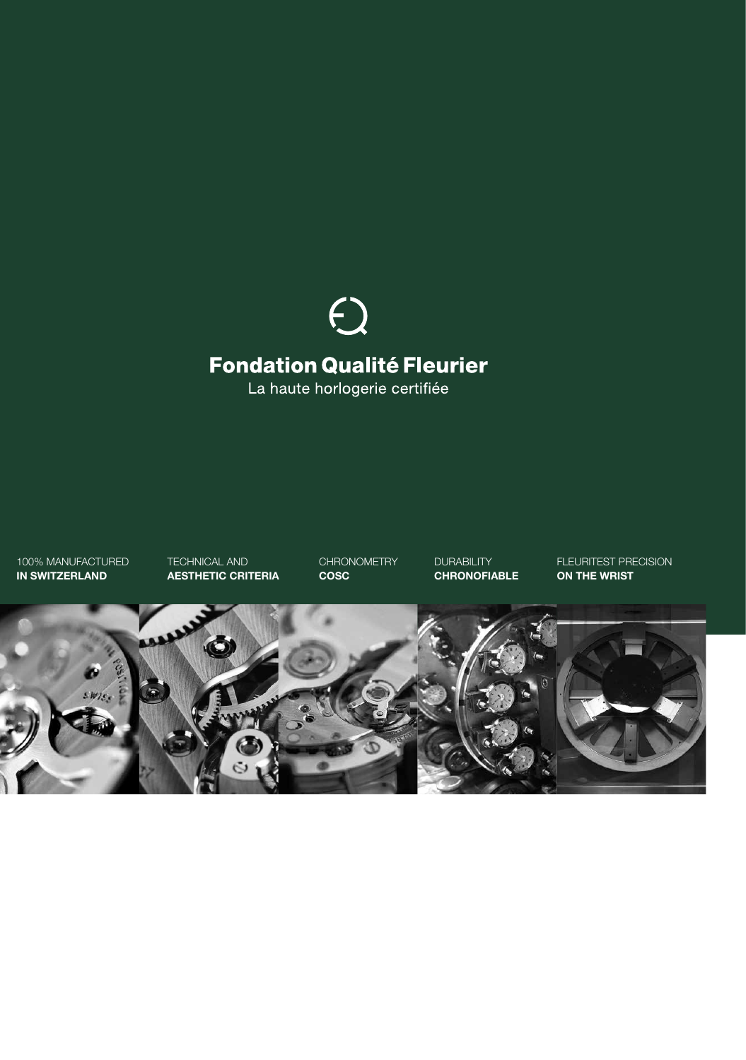# $\bigodot$ **Fondation Qualité Fleurier**

La haute horlogerie certifiée

100% MANUFACTURED **IN SWITZERLAND**

TECHNICAL AND **AESTHETIC CRITERIA** **CHRONOMETRY COSC**

**DURABILITY CHRONOFIABLE** FLEURITEST PRECISION **ON THE WRIST**

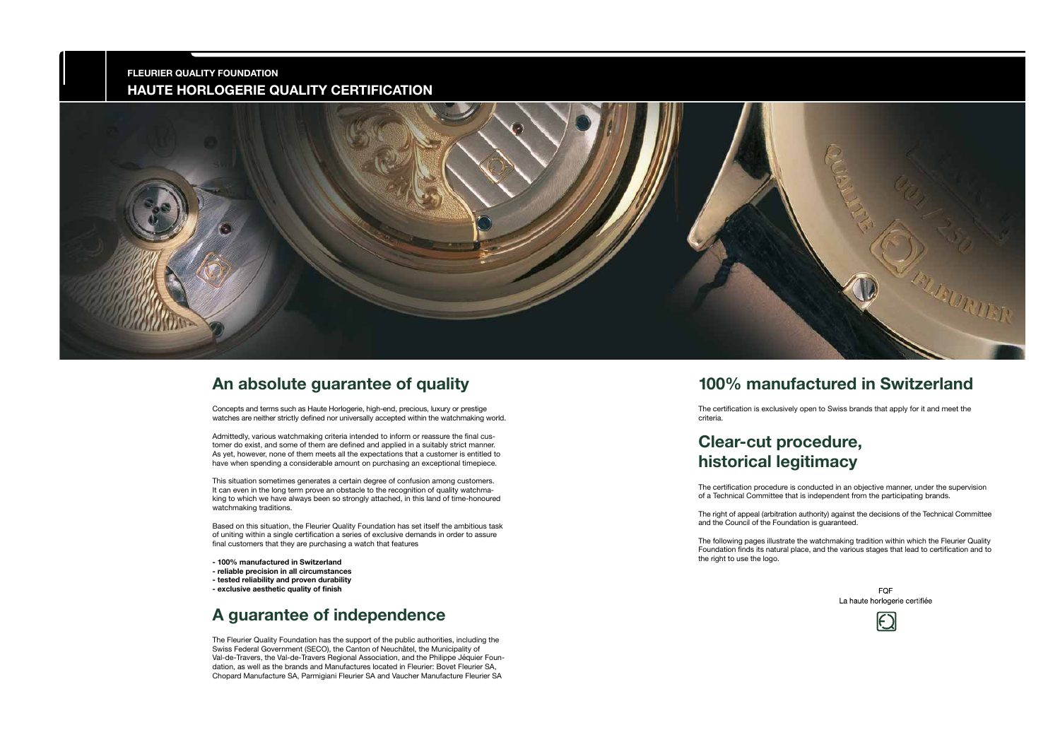#### **An absolute guarantee of quality**

Concepts and terms such as Haute Horlogerie, high-end, precious, luxury or prestige watches are neither strictly defined nor universally accepted within the watchmaking world.

Admittedly, various watchmaking criteria intended to inform or reassure the final customer do exist, and some of them are defined and applied in a suitably strict manner. As yet, however, none of them meets all the expectations that a customer is entitled to have when spending a considerable amount on purchasing an exceptional timepiece.

This situation sometimes generates a certain degree of confusion among customers. It can even in the long term prove an obstacle to the recognition of quality watchmaking to which we have always been so strongly attached, in this land of time-honoured watchmaking traditions.

Based on this situation, the Fleurier Quality Foundation has set itself the ambitious task of uniting within a single certification a series of exclusive demands in order to assure final customers that they are purchasing a watch that features

- **100% manufactured in Switzerland**
- **reliable precision in all circumstances**
- **tested reliability and proven durability**
- **exclusive aesthetic quality of finish**

#### **A guarantee of independence**

The Fleurier Quality Foundation has the support of the public authorities, including the Swiss Federal Government (SECO), the Canton of Neuchâtel, the Municipality of Val-de-Travers, the Val-de-Travers Regional Association, and the Philippe Jéquier Foundation, as well as the brands and Manufactures located in Fleurier: Bovet Fleurier SA, Chopard Manufacture SA, Parmigiani Fleurier SA and Vaucher Manufacture Fleurier SA

#### **100% manufactured in Switzerland**

The certification is exclusively open to Swiss brands that apply for it and meet the

criteria.

## **Clear-cut procedure, historical legitimacy**

The certification procedure is conducted in an objective manner, under the supervision of a Technical Committee that is independent from the participating brands.

> FQF La haute horlogerie certifiée



The right of appeal (arbitration authority) against the decisions of the Technical Committee and the Council of the Foundation is guaranteed.

The following pages illustrate the watchmaking tradition within which the Fleurier Quality Foundation finds its natural place, and the various stages that lead to certification and to the right to use the logo.

#### **FLEURIER QUALITY FOUNDATION HAUTE HORLOGERIE QUALITY CERTIFICATION**

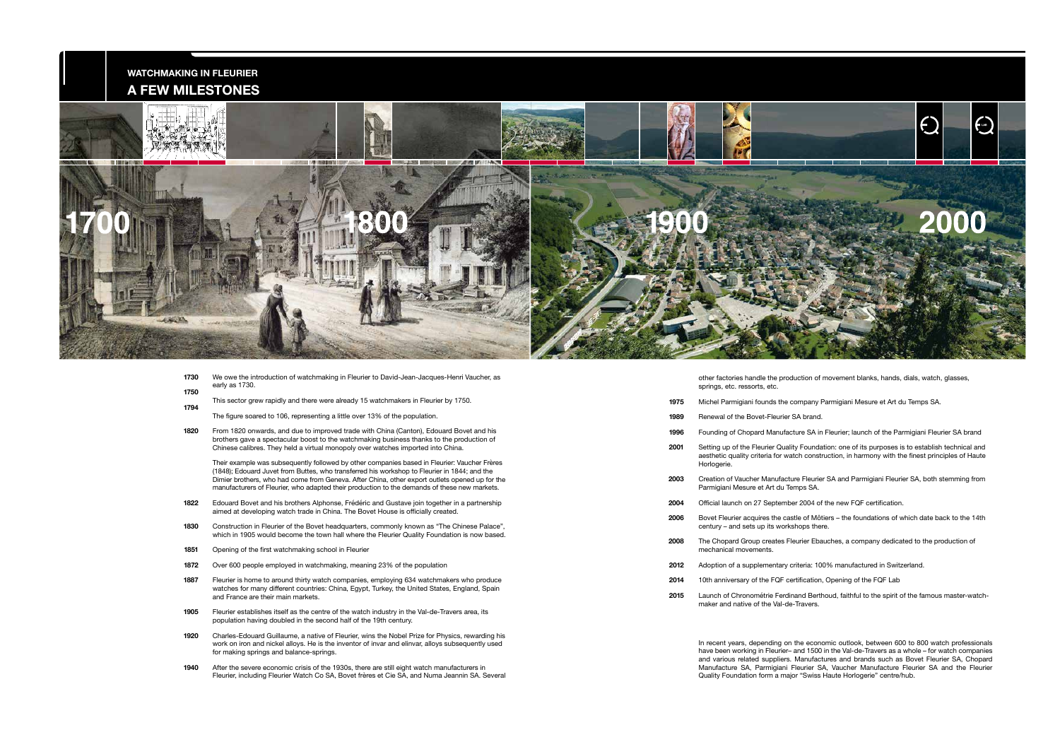**1940** After the severe economic crisis of the 1930s, there are still eight watch manufacturers in Fleurier, including Fleurier Watch Co SA, Bovet frères et Cie SA, and Numa Jeannin SA. Several

|  | 1730<br>1750 | We owe the introduction of watchmaking in Fleurier to David-Jean-Jacques-Henri Vaucher, as<br>early as 1730.                                                                                          |      | other factories ha<br>springs, etc. ress  |
|--|--------------|-------------------------------------------------------------------------------------------------------------------------------------------------------------------------------------------------------|------|-------------------------------------------|
|  | 1794         | This sector grew rapidly and there were already 15 watchmakers in Fleurier by 1750.                                                                                                                   | 1975 | Michel Parmigiani                         |
|  |              | The figure soared to 106, representing a little over 13% of the population.                                                                                                                           | 1989 | Renewal of the B                          |
|  | 1820         | From 1820 onwards, and due to improved trade with China (Canton), Edouard Bovet and his                                                                                                               | 1996 | Founding of Chop                          |
|  |              | brothers gave a spectacular boost to the watchmaking business thanks to the production of<br>Chinese calibres. They held a virtual monopoly over watches imported into China.                         | 2001 | Setting up of the                         |
|  |              | Their example was subsequently followed by other companies based in Fleurier: Vaucher Frères<br>(1848); Edouard Juvet from Buttes, who transferred his workshop to Fleurier in 1844; and the          |      | aesthetic quality of<br>Horlogerie.       |
|  |              | Dimier brothers, who had come from Geneva. After China, other export outlets opened up for the<br>manufacturers of Fleurier, who adapted their production to the demands of these new markets.        | 2003 | Creation of Vauch<br>Parmigiani Mesur     |
|  | 1822         | Edouard Bovet and his brothers Alphonse, Frédéric and Gustave join together in a partnership<br>aimed at developing watch trade in China. The Bovet House is officially created.                      | 2004 | Official launch on                        |
|  | 1830         | Construction in Fleurier of the Bovet headquarters, commonly known as "The Chinese Palace",<br>which in 1905 would become the town hall where the Fleurier Quality Foundation is now based.           | 2006 | Bovet Fleurier aco<br>century $-$ and set |
|  | 1851         | Opening of the first watchmaking school in Fleurier                                                                                                                                                   | 2008 | The Chopard Gro<br>mechanical move        |
|  | 1872         | Over 600 people employed in watchmaking, meaning 23% of the population                                                                                                                                | 2012 | Adoption of a sup                         |
|  | 1887         | Fleurier is home to around thirty watch companies, employing 634 watchmakers who produce<br>watches for many different countries: China, Egypt, Turkey, the United States, England, Spain             | 2014 | 10th anniversary                          |
|  |              | and France are their main markets.                                                                                                                                                                    | 2015 | Launch of Chrono<br>maker and native      |
|  | 1905         | Fleurier establishes itself as the centre of the watch industry in the Val-de-Travers area, its<br>population having doubled in the second half of the 19th century.                                  |      |                                           |
|  | 1920         | Charles-Edouard Guillaume, a native of Fleurier, wins the Nobel Prize for Physics, rewarding his<br>work on iron and nickel alloys. He is the inventor of invar and elinvar, alloys subsequently used |      | In recent years, d                        |

for making springs and balance-springs.

In recent years, depending on the economic outlook, between 600 to 800 watch professionals have been working in Fleurier– and 1500 in the Val-de-Travers as a whole – for watch companies and various related suppliers. Manufactures and brands such as Bovet Fleurier SA, Chopard Manufacture SA, Parmigiani Fleurier SA, Vaucher Manufacture Fleurier SA and the Fleurier Quality Foundation form a major "Swiss Haute Horlogerie" centre/hub.

- andle the production of movement blanks, hands, dials, watch, glasses, sorts, etc.
- i founds the company Parmigiani Mesure et Art du Temps SA.
- Renet-Fleurier SA brand.
- pard Manufacture SA in Fleurier; launch of the Parmigiani Fleurier SA brand
- Fleurier Quality Foundation: one of its purposes is to establish technical and criteria for watch construction, in harmony with the finest principles of Haute
- her Manufacture Fleurier SA and Parmigiani Fleurier SA, both stemming from re et Art du Temps SA.
- $127$  September 2004 of the new FQF certification.
- guires the castle of Môtiers the foundations of which date back to the 14th ts up its workshops there.
- oup creates Fleurier Ebauches, a company dedicated to the production of ements.
- pplementary criteria: 100% manufactured in Switzerland.
- of the FQF certification, Opening of the FQF Lab
- Intertie Ferdinand Berthoud, faithful to the spirit of the famous master-watche of the Val-de-Travers.



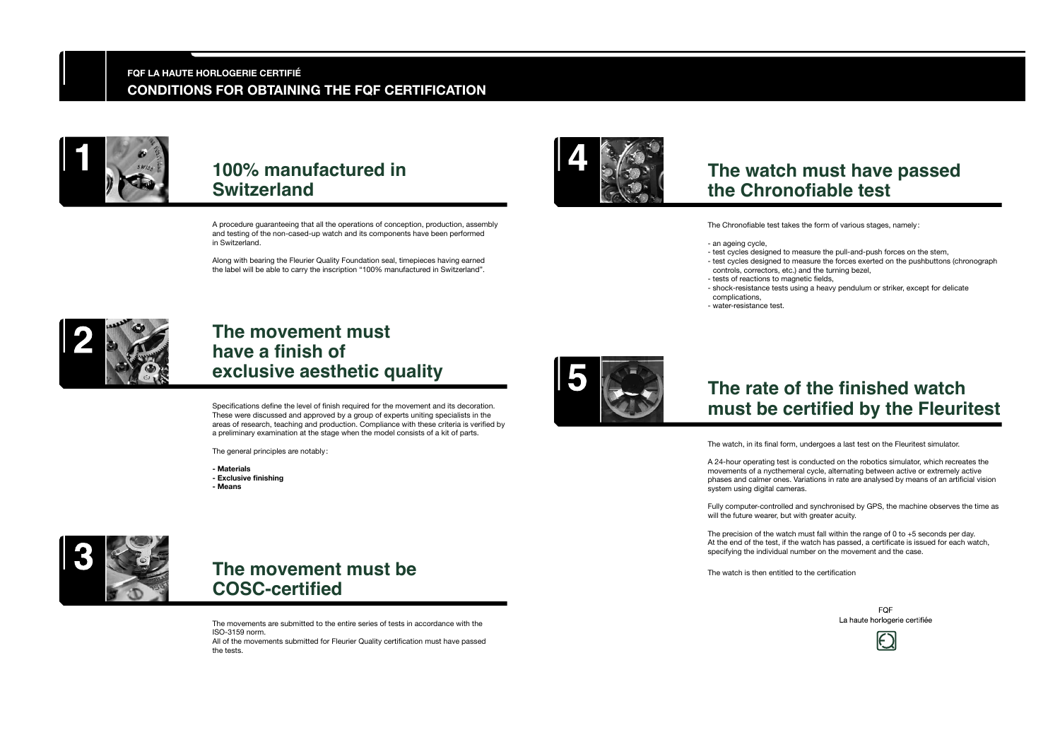A procedure guaranteeing that all the operations of conception, production, assembly and testing of the non-cased-up watch and its components have been performed in Switzerland.

Along with bearing the Fleurier Quality Foundation seal, timepieces having earned the label will be able to carry the inscription "100% manufactured in Switzerland".



The movements are submitted to the entire series of tests in accordance with the ISO-3159 norm. All of the movements submitted for Fleurier Quality certification must have passed the tests.





Specifications define the level of finish required for the movement and its decoration. These were discussed and approved by a group of experts uniting specialists in the areas of research, teaching and production. Compliance with these criteria is verified by a preliminary examination at the stage when the model consists of a kit of parts.

The general principles are notably :

- **Materials**
- **Exclusive finishing**
- **Means**



### **100% manufactured in Switzerland**

### **The movement must be COSC-certified**

### **The movement must have a finish of exclusive aesthetic quality**

The Chronofiable test takes the form of various stages, namely :

- test cycles designed to measure the pull-and-push forces on the stem,
- test cycles designed to measure the forces exerted on the pushbuttons (chronograph controls, correctors, etc.) and the turning bezel,
- an ageing cycle,
- tests of reactions to magnetic fields,
- shock-resistance tests using a heavy pendulum or striker, except for delicate complications,
- 
- 



- water-resistance test.

The watch, in its final form, undergoes a last test on the Fleuritest simulator.

A 24-hour operating test is conducted on the robotics simulator, which recreates the movements of a nycthemeral cycle, alternating between active or extremely active phases and calmer ones. Variations in rate are analysed by means of an artificial vision system using digital cameras.

> **FOF** La haute horlogerie certifiée



Fully computer-controlled and synchronised by GPS, the machine observes the time as will the future wearer, but with greater acuity.

The precision of the watch must fall within the range of 0 to +5 seconds per day. At the end of the test, if the watch has passed, a certificate is issued for each watch, specifying the individual number on the movement and the case.

The watch is then entitled to the certification

## **The watch must have passed the Chronofiable test**

## **The rate of the finished watch must be certified by the Fleuritest**

#### **FQF LA HAUTE HORLOGERIE CERTIFIÉ CONDITIONS FOR OBTAINING THE FQF CERTIFICATION**